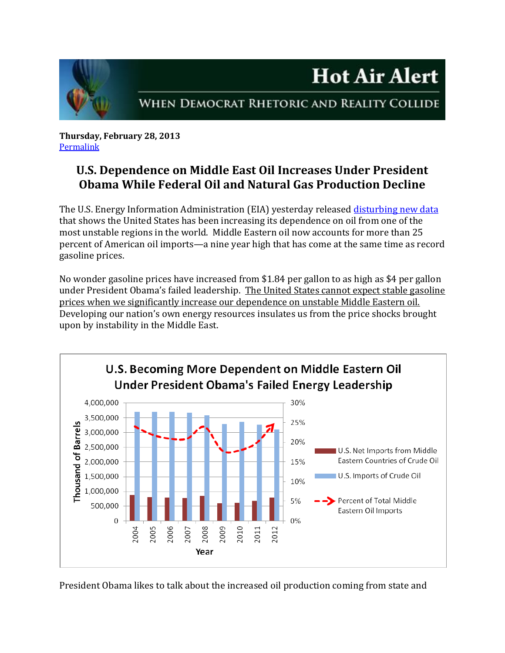

## WHEN DEMOCRAT RHETORIC AND REALITY COLLIDE

**Hot Air Alert** 

**Thursday, February 28, 2013** [Permalink](http://naturalresources.house.gov/news/documentsingle.aspx?DocumentID=321607)

## **U.S. Dependence on Middle East Oil Increases Under President Obama While Federal Oil and Natural Gas Production Decline**

The U.S. Energy Information Administration (EIA) yesterday released [disturbing new data](http://www.eia.gov/dnav/pet/pet_move_impcus_a2_nus_epc0_im0_mbbl_m.htm) that shows the United States has been increasing its dependence on oil from one of the most unstable regions in the world. Middle Eastern oil now accounts for more than 25 percent of American oil imports—a nine year high that has come at the same time as record gasoline prices.

No wonder gasoline prices have increased from \$1.84 per gallon to as high as \$4 per gallon under President Obama's failed leadership. The United States cannot expect stable gasoline prices when we significantly increase our dependence on unstable Middle Eastern oil. Developing our nation's own energy resources insulates us from the price shocks brought upon by instability in the Middle East.



President Obama likes to talk about the increased oil production coming from state and